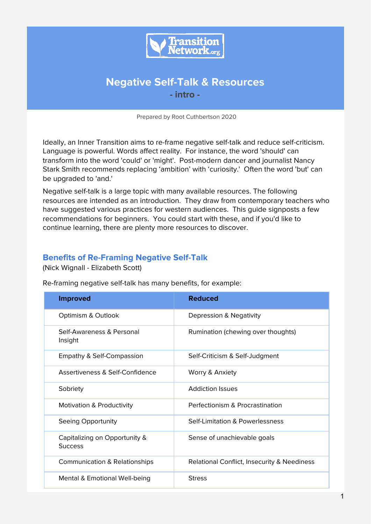

# **Negative Self-Talk & Resources - intro -**

Prepared by Root Cuthbertson 2020

Ideally, an Inner Transition aims to re-frame negative self-talk and reduce self-criticism. Language is powerful. Words affect reality. For instance, the word 'should' can transform into the word 'could' or 'might'. Post-modern dancer and journalist Nancy Stark Smith recommends replacing 'ambition' with 'curiosity.' Often the word 'but' can be upgraded to 'and.'

Negative self-talk is a large topic with many available resources. The following resources are intended as an introduction. They draw from contemporary teachers who have suggested various practices for western audiences. This guide signposts a few recommendations for beginners. You could start with these, and if you'd like to continue learning, there are plenty more resources to discover.

### **Benefits of Re-Framing Negative Self-Talk**

(Nick Wignall - Elizabeth Scott)

Re-framing negative self-talk has many benefits, for example:

| <b>Improved</b>                                 | <b>Reduced</b>                              |
|-------------------------------------------------|---------------------------------------------|
| Optimism & Outlook                              | Depression & Negativity                     |
| Self-Awareness & Personal<br>Insight            | Rumination (chewing over thoughts)          |
| Empathy & Self-Compassion                       | Self-Criticism & Self-Judgment              |
| Assertiveness & Self-Confidence                 | Worry & Anxiety                             |
| Sobriety                                        | <b>Addiction Issues</b>                     |
| Motivation & Productivity                       | Perfectionism & Procrastination             |
| Seeing Opportunity                              | Self-Limitation & Powerlessness             |
| Capitalizing on Opportunity &<br><b>Success</b> | Sense of unachievable goals                 |
| <b>Communication &amp; Relationships</b>        | Relational Conflict, Insecurity & Neediness |
| Mental & Emotional Well-being                   | <b>Stress</b>                               |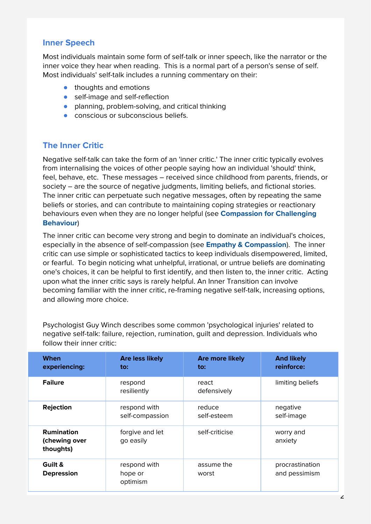### **Inner Speech**

Most individuals maintain some form of self-talk or inner speech, like the narrator or the inner voice they hear when reading. This is a normal part of a person's sense of self. Most individuals' self-talk includes a running commentary on their:

- thoughts and emotions
- self-image and self-reflection
- planning, problem-solving, and critical thinking
- conscious or subconscious beliefs.

### **The Inner Critic**

Negative self-talk can take the form of an 'inner critic.' The inner critic typically evolves from internalising the voices of other people saying how an individual 'should' think, feel, behave, etc. These messages – received since childhood from parents, friends, or society – are the source of negative judgments, limiting beliefs, and fictional stories. The inner critic can perpetuate such negative messages, often by repeating the same beliefs or stories, and can contribute to maintaining coping strategies or reactionary behaviours even when they are no longer helpful (see **Compassion for Challenging Behaviour**)

The inner critic can become very strong and begin to dominate an individual's choices, especially in the absence of self-compassion (see **Empathy & Compassion**). The inner critic can use simple or sophisticated tactics to keep individuals disempowered, limited, or fearful. To begin noticing what unhelpful, irrational, or untrue beliefs are dominating one's choices, it can be helpful to first identify, and then listen to, the inner critic. Acting upon what the inner critic says is rarely helpful. An Inner Transition can involve becoming familiar with the inner critic, re-framing negative self-talk, increasing options, and allowing more choice.

Psychologist Guy Winch describes some common 'psychological injuries' related to negative self-talk: failure, rejection, rumination, guilt and depression. Individuals who follow their inner critic:

| When<br>experiencing:                           | <b>Are less likely</b><br>to:       | <b>Are more likely</b><br>to: | <b>And likely</b><br>reinforce:  |
|-------------------------------------------------|-------------------------------------|-------------------------------|----------------------------------|
| <b>Failure</b>                                  | respond<br>resiliently              | react<br>defensively          | limiting beliefs                 |
| <b>Rejection</b>                                | respond with<br>self-compassion     | reduce<br>self-esteem         | negative<br>self-image           |
| <b>Rumination</b><br>(chewing over<br>thoughts) | forgive and let<br>go easily        | self-criticise                | worry and<br>anxiety             |
| Guilt &<br><b>Depression</b>                    | respond with<br>hope or<br>optimism | assume the<br>worst           | procrastination<br>and pessimism |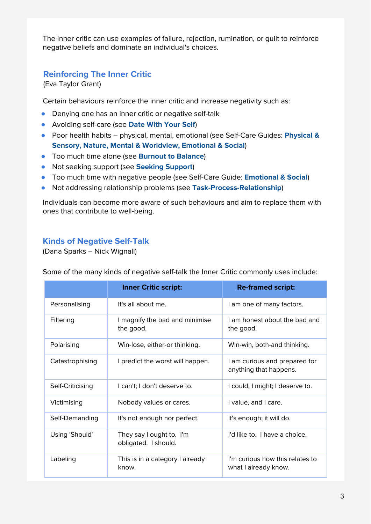The inner critic can use examples of failure, rejection, rumination, or guilt to reinforce negative beliefs and dominate an individual's choices.

### **Reinforcing The Inner Critic**

(Eva Taylor Grant)

Certain behaviours reinforce the inner critic and increase negativity such as:

- Denying one has an inner critic or negative self-talk
- Avoiding self-care (see **Date With Your Self**)
- Poor health habits physical, mental, emotional (see Self-Care Guides: **Physical & Sensory, Nature, Mental & Worldview, Emotional & Social**)
- Too much time alone (see **Burnout to Balance**)
- Not seeking support (see **Seeking Support**)
- Too much time with negative people (see Self-Care Guide: **Emotional & Social**)
- Not addressing relationship problems (see **Task-Process-Relationship**)

Individuals can become more aware of such behaviours and aim to replace them with ones that contribute to well-being.

### **Kinds of Negative Self-Talk**

(Dana Sparks – Nick Wignall)

|                  | <b>Inner Critic script:</b>                      | <b>Re-framed script:</b>                                |
|------------------|--------------------------------------------------|---------------------------------------------------------|
| Personalising    | It's all about me.                               | I am one of many factors.                               |
| Filtering        | I magnify the bad and minimise<br>the good.      | I am honest about the bad and<br>the good.              |
| Polarising       | Win-lose, either-or thinking.                    | Win-win, both-and thinking.                             |
| Catastrophising  | I predict the worst will happen.                 | I am curious and prepared for<br>anything that happens. |
| Self-Criticising | I can't: I don't deserve to.                     | I could; I might; I deserve to.                         |
| Victimising      | Nobody values or cares.                          | I value, and I care.                                    |
| Self-Demanding   | It's not enough nor perfect.                     | It's enough; it will do.                                |
| Using 'Should'   | They say I ought to. I'm<br>obligated. I should. | I'd like to. I have a choice.                           |
| Labeling         | This is in a category I already<br>know.         | I'm curious how this relates to<br>what I already know. |

Some of the many kinds of negative self-talk the Inner Critic commonly uses include: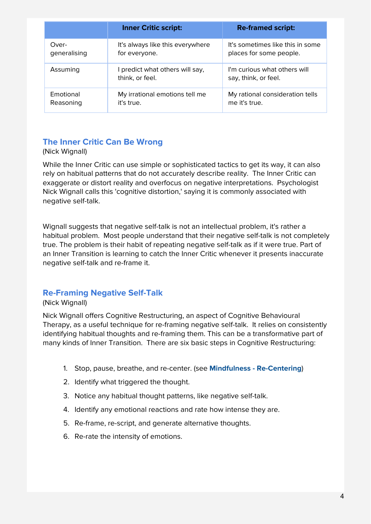|              | <b>Inner Critic script:</b>                      | <b>Re-framed script:</b>                             |
|--------------|--------------------------------------------------|------------------------------------------------------|
| Over-        | It's always like this everywhere                 | It's sometimes like this in some                     |
| generalising | for everyone.                                    | places for some people.                              |
| Assuming     | predict what others will say,<br>think, or feel. | I'm curious what others will<br>say, think, or feel. |
| Emotional    | My irrational emotions tell me                   | My rational consideration tells                      |
| Reasoning    | it's true.                                       | me it's true.                                        |

# **The Inner Critic Can Be Wrong**

#### (Nick Wignall)

While the Inner Critic can use simple or sophisticated tactics to get its way, it can also rely on habitual patterns that do not accurately describe reality. The Inner Critic can exaggerate or distort reality and overfocus on negative interpretations. Psychologist Nick Wignall calls this 'cognitive distortion,' saying it is commonly associated with negative self-talk.

Wignall suggests that negative self-talk is not an intellectual problem, it's rather a habitual problem. Most people understand that their negative self-talk is not completely true. The problem is their habit of repeating negative self-talk as if it were true. Part of an Inner Transition is learning to catch the Inner Critic whenever it presents inaccurate negative self-talk and re-frame it.

### **Re-Framing Negative Self-Talk**

#### (Nick Wignall)

Nick Wignall offers Cognitive Restructuring, an aspect of Cognitive Behavioural Therapy, as a useful technique for re-framing negative self-talk. It relies on consistently identifying habitual thoughts and re-framing them. This can be a transformative part of many kinds of Inner Transition. There are six basic steps in Cognitive Restructuring:

- 1. Stop, pause, breathe, and re-center. (see **Mindfulness - Re-Centering**)
- 2. Identify what triggered the thought.
- 3. Notice any habitual thought patterns, like negative self-talk.
- 4. Identify any emotional reactions and rate how intense they are.
- 5. Re-frame, re-script, and generate alternative thoughts.
- 6. Re-rate the intensity of emotions.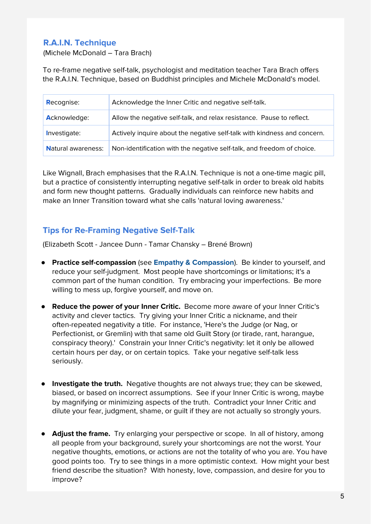# **R.A.I.N. Technique**

(Michele McDonald – Tara Brach)

To re-frame negative self-talk, psychologist and meditation teacher Tara Brach offers the R.A.I.N. Technique, based on Buddhist principles and Michele McDonald's model.

| <b>Recognise:</b>         | Acknowledge the Inner Critic and negative self-talk.                     |
|---------------------------|--------------------------------------------------------------------------|
| <b>Acknowledge:</b>       | Allow the negative self-talk, and relax resistance. Pause to reflect.    |
| Investigate:              | Actively inquire about the negative self-talk with kindness and concern. |
| <b>Natural awareness:</b> | Non-identification with the negative self-talk, and freedom of choice.   |

Like Wignall, Brach emphasises that the R.A.I.N. Technique is not a one-time magic pill, but a practice of consistently interrupting negative self-talk in order to break old habits and form new thought patterns. Gradually individuals can reinforce new habits and make an Inner Transition toward what she calls 'natural loving awareness.'

## **Tips for Re-Framing Negative Self-Talk**

(Elizabeth Scott - Jancee Dunn - Tamar Chansky – Brené Brown)

- **Practice self-compassion** (see **Empathy & Compassion**). Be kinder to yourself, and reduce your self-judgment. Most people have shortcomings or limitations; it's a common part of the human condition. Try embracing your imperfections. Be more willing to mess up, forgive yourself, and move on.
- **Reduce the power of your Inner Critic.** Become more aware of your Inner Critic's activity and clever tactics. Try giving your Inner Critic a nickname, and their often-repeated negativity a title. For instance, 'Here's the Judge (or Nag, or Perfectionist, or Gremlin) with that same old Guilt Story (or tirade, rant, harangue, conspiracy theory).' Constrain your Inner Critic's negativity: let it only be allowed certain hours per day, or on certain topics. Take your negative self-talk less seriously.
- **Investigate the truth.** Negative thoughts are not always true; they can be skewed, biased, or based on incorrect assumptions. See if your Inner Critic is wrong, maybe by magnifying or minimizing aspects of the truth. Contradict your Inner Critic and dilute your fear, judgment, shame, or guilt if they are not actually so strongly yours.
- **Adjust the frame.** Try enlarging your perspective or scope. In all of history, among all people from your background, surely your shortcomings are not the worst. Your negative thoughts, emotions, or actions are not the totality of who you are. You have good points too. Try to see things in a more optimistic context. How might your best friend describe the situation? With honesty, love, compassion, and desire for you to improve?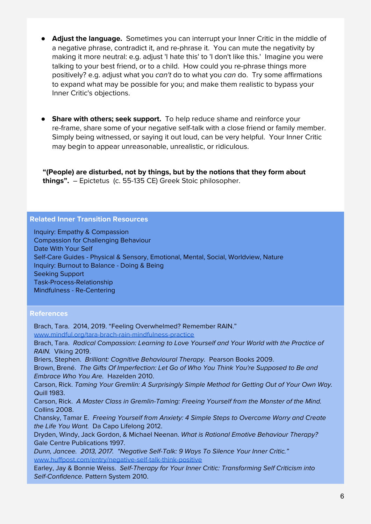- **Adjust the language.** Sometimes you can interrupt your Inner Critic in the middle of a negative phrase, contradict it, and re-phrase it. You can mute the negativity by making it more neutral: e.g. adjust 'I hate this' to 'I don't like this.' Imagine you were talking to your best friend, or to a child. How could you re-phrase things more positively? e.g. adjust what you can't do to what you can do. Try some affirmations to expand what may be possible for you; and make them realistic to bypass your Inner Critic's objections.
- **Share with others; seek support.** To help reduce shame and reinforce your re-frame, share some of your negative self-talk with a close friend or family member. Simply being witnessed, or saying it out loud, can be very helpful. Your Inner Critic may begin to appear unreasonable, unrealistic, or ridiculous.

**"(People) are disturbed, not by things, but by the notions that they form about things".** – Epictetus (c. 55-135 CE) Greek Stoic philosopher.

#### **Related Inner Transition Resources**

Inquiry: Empathy & Compassion Compassion for Challenging Behaviour Date With Your Self Self-Care Guides - Physical & Sensory, Emotional, Mental, Social, Worldview, Nature Inquiry: Burnout to Balance - Doing & Being Seeking Support Task-Process-Relationship Mindfulness - Re-Centering

#### **References**

Brach, Tara. 2014, 2019. "Feeling Overwhelmed? Remember RAIN." [www.mindful.org/tara-brach-rain-mindfulness-practice](https://www.mindful.org/tara-brach-rain-mindfulness-practice/) Brach, Tara. Radical Compassion: Learning to Love Yourself and Your World with the Practice of RAIN. Viking 2019. Briers, Stephen. Brilliant: Cognitive Behavioural Therapy. Pearson Books 2009. Brown, Brené. The Gifts Of Imperfection: Let Go of Who You Think You're Supposed to Be and Embrace Who You Are. Hazelden 2010. Carson, Rick. Taming Your Gremlin: A Surprisingly Simple Method for Getting Out of Your Own Way. Quill 1983. Carson, Rick. A Master Class in Gremlin-Taming: Freeing Yourself from the Monster of the Mind. Collins 2008. Chansky, Tamar E. Freeing Yourself from Anxiety: 4 Simple Steps to Overcome Worry and Create the Life You Want. Da Capo Lifelong 2012. Dryden, Windy, Jack Gordon, & Michael Neenan. What is Rational Emotive Behaviour Therapy? Gale Centre Publications 1997. Dunn, Jancee. 2013, 2017. "Negative Self-Talk: 9 Ways To Silence Your Inner Critic." [www.huffpost.com/entry/negative-self-talk-think-positive](https://www.huffpost.com/entry/negative-self-talk-think-positive_n_3009832) Earley, Jay & Bonnie Weiss. Self-Therapy for Your Inner Critic: Transforming Self Criticism into Self-Confidence. Pattern System 2010.